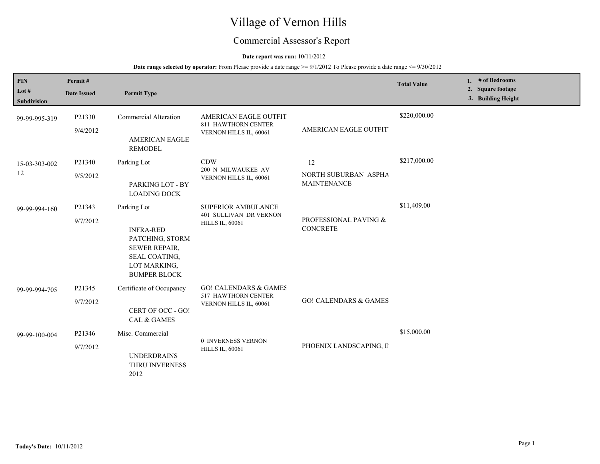# Village of Vernon Hills

# Commercial Assessor's Report

#### **Date report was run:** 10/11/2012

| PIN<br>Lot #<br><b>Subdivision</b> | Permit#<br><b>Date Issued</b> | <b>Permit Type</b>                                                                                                          |                                                                                   |                                                      | <b>Total Value</b> | 1. # of Bedrooms<br>2. Square footage<br>3. Building Height |
|------------------------------------|-------------------------------|-----------------------------------------------------------------------------------------------------------------------------|-----------------------------------------------------------------------------------|------------------------------------------------------|--------------------|-------------------------------------------------------------|
| 99-99-995-319                      | P21330<br>9/4/2012            | <b>Commercial Alteration</b><br><b>AMERICAN EAGLE</b><br><b>REMODEL</b>                                                     | AMERICAN EAGLE OUTFIT<br>811 HAWTHORN CENTER<br>VERNON HILLS IL, 60061            | AMERICAN EAGLE OUTFIT                                | \$220,000.00       |                                                             |
| 15-03-303-002<br>12                | P21340<br>9/5/2012            | Parking Lot<br>PARKING LOT - BY<br><b>LOADING DOCK</b>                                                                      | <b>CDW</b><br>200 N MILWAUKEE AV<br>VERNON HILLS IL, 60061                        | $12\,$<br>NORTH SUBURBAN ASPHA<br><b>MAINTENANCE</b> | \$217,000.00       |                                                             |
| 99-99-994-160                      | P21343<br>9/7/2012            | Parking Lot<br><b>INFRA-RED</b><br>PATCHING, STORM<br>SEWER REPAIR,<br>SEAL COATING,<br>LOT MARKING,<br><b>BUMPER BLOCK</b> | SUPERIOR AMBULANCE<br><b>401 SULLIVAN DR VERNON</b><br><b>HILLS IL, 60061</b>     | PROFESSIONAL PAVING &<br><b>CONCRETE</b>             | \$11,409.00        |                                                             |
| 99-99-994-705                      | P21345<br>9/7/2012            | Certificate of Occupancy<br>CERT OF OCC - GO!<br><b>CAL &amp; GAMES</b>                                                     | <b>GO! CALENDARS &amp; GAMES</b><br>517 HAWTHORN CENTER<br>VERNON HILLS IL, 60061 | <b>GO! CALENDARS &amp; GAMES</b>                     |                    |                                                             |
| 99-99-100-004                      | P21346<br>9/7/2012            | Misc. Commercial<br><b>UNDERDRAINS</b><br>THRU INVERNESS<br>2012                                                            | 0 INVERNESS VERNON<br><b>HILLS IL, 60061</b>                                      | PHOENIX LANDSCAPING, II                              | \$15,000.00        |                                                             |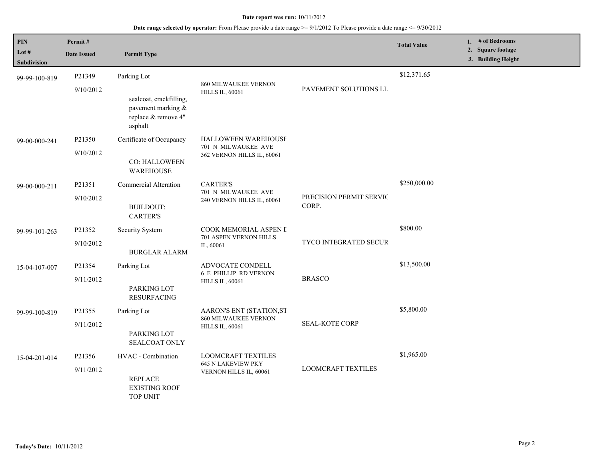| PIN<br>Lot $#$<br><b>Subdivision</b> | Permit#<br><b>Date Issued</b> | <b>Permit Type</b>                                                                             |                                                                                  |                                  | <b>Total Value</b> | 1. # of Bedrooms<br>2. Square footage<br>3. Building Height |
|--------------------------------------|-------------------------------|------------------------------------------------------------------------------------------------|----------------------------------------------------------------------------------|----------------------------------|--------------------|-------------------------------------------------------------|
| 99-99-100-819                        | P21349<br>9/10/2012           | Parking Lot<br>sealcoat, crackfilling,<br>pavement marking &<br>replace & remove 4"<br>asphalt | <b>860 MILWAUKEE VERNON</b><br><b>HILLS IL, 60061</b>                            | PAVEMENT SOLUTIONS LL            | \$12,371.65        |                                                             |
| 99-00-000-241                        | P21350<br>9/10/2012           | Certificate of Occupancy<br>CO: HALLOWEEN<br><b>WAREHOUSE</b>                                  | <b>HALLOWEEN WAREHOUSE</b><br>701 N MILWAUKEE AVE<br>362 VERNON HILLS IL, 60061  |                                  |                    |                                                             |
| 99-00-000-211                        | P21351<br>9/10/2012           | Commercial Alteration<br><b>BUILDOUT:</b><br><b>CARTER'S</b>                                   | <b>CARTER'S</b><br>701 N MILWAUKEE AVE<br>240 VERNON HILLS IL, 60061             | PRECISION PERMIT SERVIC<br>CORP. | \$250,000.00       |                                                             |
| 99-99-101-263                        | P21352<br>9/10/2012           | Security System<br><b>BURGLAR ALARM</b>                                                        | COOK MEMORIAL ASPEN I<br>701 ASPEN VERNON HILLS<br>IL, 60061                     | TYCO INTEGRATED SECUR            | \$800.00           |                                                             |
| 15-04-107-007                        | P21354<br>9/11/2012           | Parking Lot<br>PARKING LOT<br><b>RESURFACING</b>                                               | ADVOCATE CONDELL<br><b>6 E PHILLIP RD VERNON</b><br><b>HILLS IL, 60061</b>       | <b>BRASCO</b>                    | \$13,500.00        |                                                             |
| 99-99-100-819                        | P21355<br>9/11/2012           | Parking Lot<br>PARKING LOT<br>SEALCOAT ONLY                                                    | AARON'S ENT (STATION,ST<br><b>860 MILWAUKEE VERNON</b><br><b>HILLS IL, 60061</b> | SEAL-KOTE CORP                   | \$5,800.00         |                                                             |
| 15-04-201-014                        | P21356<br>9/11/2012           | HVAC - Combination<br><b>REPLACE</b><br><b>EXISTING ROOF</b><br>TOP UNIT                       | <b>LOOMCRAFT TEXTILES</b><br><b>645 N LAKEVIEW PKY</b><br>VERNON HILLS IL, 60061 | <b>LOOMCRAFT TEXTILES</b>        | \$1,965.00         |                                                             |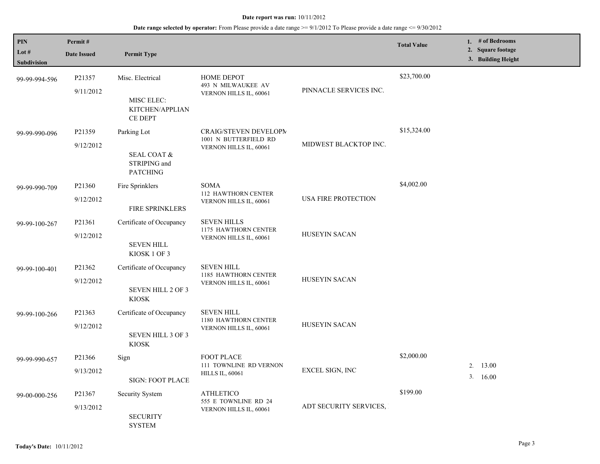| <b>PIN</b><br>Lot $#$ | Permit#            |                                                           |                                                              |                        | <b>Total Value</b> | 1. # of Bedrooms<br>2. Square footage |
|-----------------------|--------------------|-----------------------------------------------------------|--------------------------------------------------------------|------------------------|--------------------|---------------------------------------|
| <b>Subdivision</b>    | <b>Date Issued</b> | <b>Permit Type</b>                                        |                                                              |                        |                    | 3. Building Height                    |
| 99-99-994-596         | P21357             | Misc. Electrical                                          | <b>HOME DEPOT</b><br>493 N MILWAUKEE AV                      |                        | \$23,700.00        |                                       |
|                       | 9/11/2012          | MISC ELEC:<br>KITCHEN/APPLIAN<br><b>CE DEPT</b>           | VERNON HILLS IL, 60061                                       | PINNACLE SERVICES INC. |                    |                                       |
| 99-99-990-096         | P21359             | Parking Lot                                               | CRAIG/STEVEN DEVELOPM<br>1001 N BUTTERFIELD RD               |                        | \$15,324.00        |                                       |
|                       | 9/12/2012          | <b>SEAL COAT &amp;</b><br>STRIPING and<br><b>PATCHING</b> | VERNON HILLS IL, 60061                                       | MIDWEST BLACKTOP INC.  |                    |                                       |
| 99-99-990-709         | P21360             | Fire Sprinklers                                           | <b>SOMA</b><br>112 HAWTHORN CENTER<br>VERNON HILLS IL, 60061 | USA FIRE PROTECTION    | \$4,002.00         |                                       |
|                       | 9/12/2012          | FIRE SPRINKLERS                                           |                                                              |                        |                    |                                       |
| 99-99-100-267         | P21361             | Certificate of Occupancy                                  | <b>SEVEN HILLS</b><br>1175 HAWTHORN CENTER                   | HUSEYIN SACAN          |                    |                                       |
|                       | 9/12/2012          | <b>SEVEN HILL</b><br>KIOSK 1 OF 3                         | VERNON HILLS IL, 60061                                       |                        |                    |                                       |
| 99-99-100-401         | P21362             | Certificate of Occupancy                                  | <b>SEVEN HILL</b><br>1185 HAWTHORN CENTER                    |                        |                    |                                       |
|                       | 9/12/2012          | <b>SEVEN HILL 2 OF 3</b><br><b>KIOSK</b>                  | VERNON HILLS IL, 60061                                       | HUSEYIN SACAN          |                    |                                       |
| 99-99-100-266         | P21363             | Certificate of Occupancy                                  | <b>SEVEN HILL</b>                                            |                        |                    |                                       |
|                       | 9/12/2012          | <b>SEVEN HILL 3 OF 3</b><br><b>KIOSK</b>                  | 1180 HAWTHORN CENTER<br>VERNON HILLS IL, 60061               | HUSEYIN SACAN          |                    |                                       |
| 99-99-990-657         | P21366             | Sign                                                      | FOOT PLACE                                                   |                        | \$2,000.00         |                                       |
|                       | 9/13/2012          | <b>SIGN: FOOT PLACE</b>                                   | 111 TOWNLINE RD VERNON<br><b>HILLS IL, 60061</b>             | EXCEL SIGN, INC        |                    | 2. 13.00<br>3.16.00                   |
| 99-00-000-256         | P21367             | Security System                                           | <b>ATHLETICO</b><br>555 E TOWNLINE RD 24                     | ADT SECURITY SERVICES, | \$199.00           |                                       |
|                       | 9/13/2012          | <b>SECURITY</b><br><b>SYSTEM</b>                          | VERNON HILLS IL, 60061                                       |                        |                    |                                       |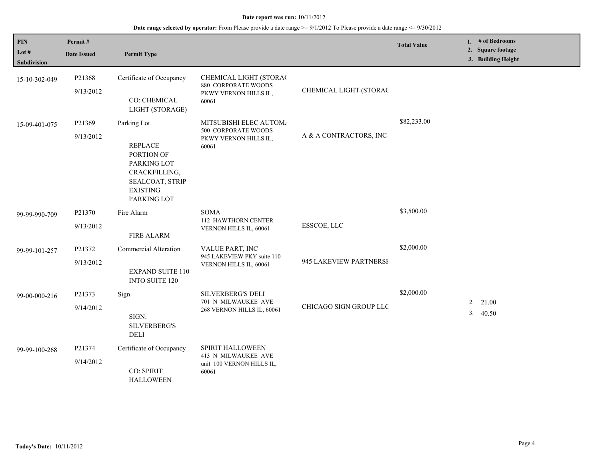| $\mathbf{PIN}$<br>Lot #<br><b>Subdivision</b> | Permit#<br><b>Date Issued</b> | <b>Permit Type</b>                                                                                                               |                                                                                 |                        | <b>Total Value</b> | 1. # of Bedrooms<br>2. Square footage<br>3. Building Height |
|-----------------------------------------------|-------------------------------|----------------------------------------------------------------------------------------------------------------------------------|---------------------------------------------------------------------------------|------------------------|--------------------|-------------------------------------------------------------|
| 15-10-302-049                                 | P21368<br>9/13/2012           | Certificate of Occupancy<br>CO: CHEMICAL<br>LIGHT (STORAGE)                                                                      | CHEMICAL LIGHT (STORAC<br>880 CORPORATE WOODS<br>PKWY VERNON HILLS IL,<br>60061 | CHEMICAL LIGHT (STORAC |                    |                                                             |
| 15-09-401-075                                 | P21369<br>9/13/2012           | Parking Lot<br><b>REPLACE</b><br>PORTION OF<br>PARKING LOT<br>CRACKFILLING,<br>SEALCOAT, STRIP<br><b>EXISTING</b><br>PARKING LOT | MITSUBISHI ELEC AUTOM/<br>500 CORPORATE WOODS<br>PKWY VERNON HILLS IL,<br>60061 | A & A CONTRACTORS, INC | \$82,233.00        |                                                             |
| 99-99-990-709                                 | P21370<br>9/13/2012           | Fire Alarm<br><b>FIRE ALARM</b>                                                                                                  | <b>SOMA</b><br>112 HAWTHORN CENTER<br>VERNON HILLS IL, 60061                    | ESSCOE, LLC            | \$3,500.00         |                                                             |
| 99-99-101-257                                 | P21372<br>9/13/2012           | <b>Commercial Alteration</b><br><b>EXPAND SUITE 110</b><br><b>INTO SUITE 120</b>                                                 | VALUE PART, INC<br>945 LAKEVIEW PKY suite 110<br>VERNON HILLS IL, 60061         | 945 LAKEVIEW PARTNERSH | \$2,000.00         |                                                             |
| 99-00-000-216                                 | P21373<br>9/14/2012           | Sign<br>$SIGN$ :<br><b>SILVERBERG'S</b><br>DELI                                                                                  | <b>SILVERBERG'S DELI</b><br>701 N MILWAUKEE AVE<br>268 VERNON HILLS IL, 60061   | CHICAGO SIGN GROUP LLC | \$2,000.00         | 2. 21.00<br>3.40.50                                         |
| 99-99-100-268                                 | P21374<br>9/14/2012           | Certificate of Occupancy<br>CO: SPIRIT<br><b>HALLOWEEN</b>                                                                       | SPIRIT HALLOWEEN<br>413 N MILWAUKEE AVE<br>unit 100 VERNON HILLS IL,<br>60061   |                        |                    |                                                             |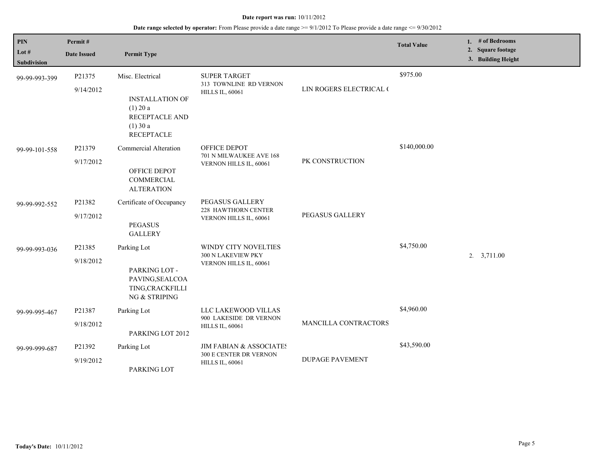| <b>PIN</b><br>Lot $#$<br><b>Subdivision</b> | Permit#<br><b>Date Issued</b> | <b>Permit Type</b>                                                                                            |                                                                             |                         | <b>Total Value</b> | 1. # of Bedrooms<br>2. Square footage<br>3. Building Height |
|---------------------------------------------|-------------------------------|---------------------------------------------------------------------------------------------------------------|-----------------------------------------------------------------------------|-------------------------|--------------------|-------------------------------------------------------------|
| 99-99-993-399                               | P21375<br>9/14/2012           | Misc. Electrical<br><b>INSTALLATION OF</b><br>$(1)$ 20 a<br>RECEPTACLE AND<br>$(1)$ 30 a<br><b>RECEPTACLE</b> | <b>SUPER TARGET</b><br>313 TOWNLINE RD VERNON<br><b>HILLS IL, 60061</b>     | LIN ROGERS ELECTRICAL ( | \$975.00           |                                                             |
| 99-99-101-558                               | P21379<br>9/17/2012           | <b>Commercial Alteration</b><br>OFFICE DEPOT<br>COMMERCIAL<br><b>ALTERATION</b>                               | OFFICE DEPOT<br>701 N MILWAUKEE AVE 168<br>VERNON HILLS IL, 60061           | PK CONSTRUCTION         | \$140,000.00       |                                                             |
| 99-99-992-552                               | P21382<br>9/17/2012           | Certificate of Occupancy<br><b>PEGASUS</b><br><b>GALLERY</b>                                                  | PEGASUS GALLERY<br>228 HAWTHORN CENTER<br>VERNON HILLS IL, 60061            | PEGASUS GALLERY         |                    |                                                             |
| 99-99-993-036                               | P21385<br>9/18/2012           | Parking Lot<br>PARKING LOT -<br>PAVING, SEALCOA<br>TING, CRACKFILLI<br>NG & STRIPING                          | WINDY CITY NOVELTIES<br>300 N LAKEVIEW PKY<br>VERNON HILLS IL, 60061        |                         | \$4,750.00         | $2. \quad 3,711.00$                                         |
| 99-99-995-467                               | P21387<br>9/18/2012           | Parking Lot<br>PARKING LOT 2012                                                                               | LLC LAKEWOOD VILLAS<br>900 LAKESIDE DR VERNON<br><b>HILLS IL, 60061</b>     | MANCILLA CONTRACTORS    | \$4,960.00         |                                                             |
| 99-99-999-687                               | P21392<br>9/19/2012           | Parking Lot<br>PARKING LOT                                                                                    | JIM FABIAN & ASSOCIATES<br>300 E CENTER DR VERNON<br><b>HILLS IL, 60061</b> | <b>DUPAGE PAVEMENT</b>  | \$43,590.00        |                                                             |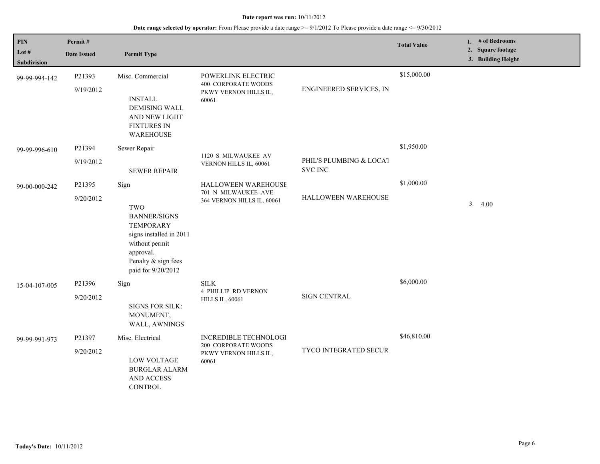| $\mathbf{PIN}$<br>Lot #<br>Subdivision | Permit#<br><b>Date Issued</b> | <b>Permit Type</b>                                                                                                                                                   |                                                                                    |                                           | <b>Total Value</b> | # of Bedrooms<br>1.<br>2. Square footage<br>3. Building Height |
|----------------------------------------|-------------------------------|----------------------------------------------------------------------------------------------------------------------------------------------------------------------|------------------------------------------------------------------------------------|-------------------------------------------|--------------------|----------------------------------------------------------------|
| 99-99-994-142                          | P21393<br>9/19/2012           | Misc. Commercial<br><b>INSTALL</b><br><b>DEMISING WALL</b><br>AND NEW LIGHT<br><b>FIXTURES IN</b><br><b>WAREHOUSE</b>                                                | POWERLINK ELECTRIC<br><b>400 CORPORATE WOODS</b><br>PKWY VERNON HILLS IL,<br>60061 | ENGINEERED SERVICES, IN                   | \$15,000.00        |                                                                |
| 99-99-996-610                          | P21394<br>9/19/2012           | Sewer Repair<br><b>SEWER REPAIR</b>                                                                                                                                  | 1120 S MILWAUKEE AV<br>VERNON HILLS IL, 60061                                      | PHIL'S PLUMBING & LOCAT<br><b>SVC INC</b> | \$1,950.00         |                                                                |
| 99-00-000-242                          | P21395<br>9/20/2012           | Sign<br><b>TWO</b><br><b>BANNER/SIGNS</b><br><b>TEMPORARY</b><br>signs installed in 2011<br>without permit<br>approval.<br>Penalty & sign fees<br>paid for 9/20/2012 | <b>HALLOWEEN WAREHOUSE</b><br>701 N MILWAUKEE AVE<br>364 VERNON HILLS IL, 60061    | HALLOWEEN WAREHOUSE                       | \$1,000.00         | 3.4.00                                                         |
| 15-04-107-005                          | P21396<br>9/20/2012           | Sign<br><b>SIGNS FOR SILK:</b><br>MONUMENT,<br>WALL, AWNINGS                                                                                                         | $\textsc{SILK}$<br><b>4 PHILLIP RD VERNON</b><br><b>HILLS IL, 60061</b>            | <b>SIGN CENTRAL</b>                       | \$6,000.00         |                                                                |
| 99-99-991-973                          | P21397<br>9/20/2012           | Misc. Electrical<br><b>LOW VOLTAGE</b><br><b>BURGLAR ALARM</b><br>AND ACCESS<br><b>CONTROL</b>                                                                       | INCREDIBLE TECHNOLOGI<br>200 CORPORATE WOODS<br>PKWY VERNON HILLS IL,<br>60061     | TYCO INTEGRATED SECUR                     | \$46,810.00        |                                                                |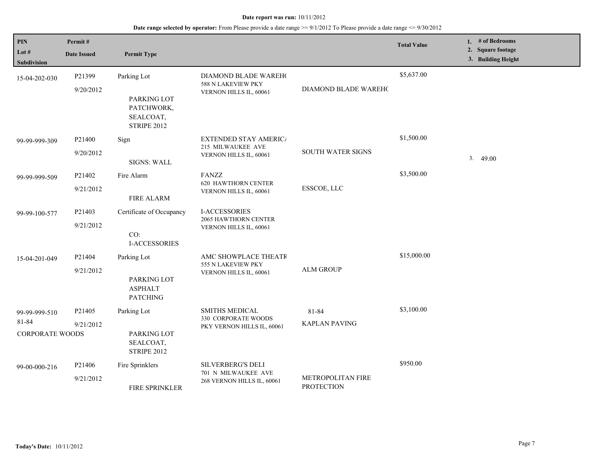| PIN<br>Lot $#$<br>Subdivision                    | Permit#<br><b>Date Issued</b>   | <b>Permit Type</b>                                                          |                                                                               |                                        | <b>Total Value</b> | 1. # of Bedrooms<br>2. Square footage<br>3. Building Height |
|--------------------------------------------------|---------------------------------|-----------------------------------------------------------------------------|-------------------------------------------------------------------------------|----------------------------------------|--------------------|-------------------------------------------------------------|
| 15-04-202-030                                    | P21399<br>9/20/2012             | Parking Lot<br>PARKING LOT<br>PATCHWORK,<br>SEALCOAT,<br><b>STRIPE 2012</b> | DIAMOND BLADE WAREH(<br>588 N LAKEVIEW PKY<br>VERNON HILLS IL, 60061          | DIAMOND BLADE WAREHO                   | \$5,637.00         |                                                             |
| 99-99-999-309                                    | P <sub>21400</sub><br>9/20/2012 | Sign<br><b>SIGNS: WALL</b>                                                  | <b>EXTENDED STAY AMERICA</b><br>215 MILWAUKEE AVE<br>VERNON HILLS IL, 60061   | <b>SOUTH WATER SIGNS</b>               | \$1,500.00         | 3 <sub>1</sub><br>49.00                                     |
| 99-99-999-509                                    | P21402<br>9/21/2012             | Fire Alarm<br><b>FIRE ALARM</b>                                             | FANZZ<br><b>620 HAWTHORN CENTER</b><br>VERNON HILLS IL, 60061                 | ESSCOE, LLC                            | \$3,500.00         |                                                             |
| 99-99-100-577                                    | P21403<br>9/21/2012             | Certificate of Occupancy<br>CO:<br><b>I-ACCESSORIES</b>                     | <b>I-ACCESSORIES</b><br>2065 HAWTHORN CENTER<br>VERNON HILLS IL, 60061        |                                        |                    |                                                             |
| 15-04-201-049                                    | P21404<br>9/21/2012             | Parking Lot<br>PARKING LOT<br><b>ASPHALT</b><br><b>PATCHING</b>             | AMC SHOWPLACE THEATR<br>555 N LAKEVIEW PKY<br>VERNON HILLS IL, 60061          | <b>ALM GROUP</b>                       | \$15,000.00        |                                                             |
| 99-99-999-510<br>81-84<br><b>CORPORATE WOODS</b> | P21405<br>9/21/2012             | Parking Lot<br>PARKING LOT<br>SEALCOAT,<br><b>STRIPE 2012</b>               | <b>SMITHS MEDICAL</b><br>330 CORPORATE WOODS<br>PKY VERNON HILLS IL, 60061    | 81-84<br><b>KAPLAN PAVING</b>          | \$3,100.00         |                                                             |
| 99-00-000-216                                    | P21406<br>9/21/2012             | Fire Sprinklers<br>FIRE SPRINKLER                                           | <b>SILVERBERG'S DELI</b><br>701 N MILWAUKEE AVE<br>268 VERNON HILLS IL, 60061 | METROPOLITAN FIRE<br><b>PROTECTION</b> | \$950.00           |                                                             |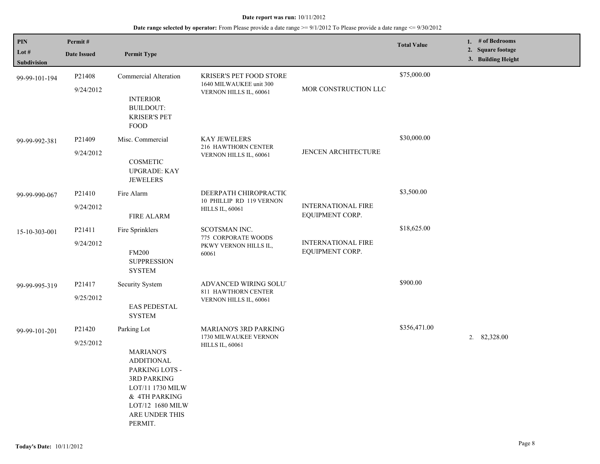| <b>PIN</b><br>Lot $#$<br>Subdivision | Permit#<br><b>Date Issued</b> | <b>Permit Type</b>                                                                                                                                                                 |                                                                              |                                              | <b>Total Value</b> | 1. # of Bedrooms<br>2. Square footage<br>3. Building Height |
|--------------------------------------|-------------------------------|------------------------------------------------------------------------------------------------------------------------------------------------------------------------------------|------------------------------------------------------------------------------|----------------------------------------------|--------------------|-------------------------------------------------------------|
| 99-99-101-194                        | P21408<br>9/24/2012           | Commercial Alteration<br><b>INTERIOR</b><br><b>BUILDOUT:</b><br><b>KRISER'S PET</b><br><b>FOOD</b>                                                                                 | KRISER'S PET FOOD STORE<br>1640 MILWAUKEE unit 300<br>VERNON HILLS IL, 60061 | MOR CONSTRUCTION LLC                         | \$75,000.00        |                                                             |
| 99-99-992-381                        | P21409<br>9/24/2012           | Misc. Commercial<br>COSMETIC<br><b>UPGRADE: KAY</b><br><b>JEWELERS</b>                                                                                                             | <b>KAY JEWELERS</b><br>216 HAWTHORN CENTER<br>VERNON HILLS IL, 60061         | JENCEN ARCHITECTURE                          | \$30,000.00        |                                                             |
| 99-99-990-067                        | P21410<br>9/24/2012           | Fire Alarm<br><b>FIRE ALARM</b>                                                                                                                                                    | DEERPATH CHIROPRACTIC<br>10 PHILLIP RD 119 VERNON<br><b>HILLS IL, 60061</b>  | <b>INTERNATIONAL FIRE</b><br>EQUIPMENT CORP. | \$3,500.00         |                                                             |
| 15-10-303-001                        | P21411<br>9/24/2012           | Fire Sprinklers<br><b>FM200</b><br><b>SUPPRESSION</b><br><b>SYSTEM</b>                                                                                                             | SCOTSMAN INC.<br>775 CORPORATE WOODS<br>PKWY VERNON HILLS IL,<br>60061       | <b>INTERNATIONAL FIRE</b><br>EQUIPMENT CORP. | \$18,625.00        |                                                             |
| 99-99-995-319                        | P21417<br>9/25/2012           | Security System<br><b>EAS PEDESTAL</b><br><b>SYSTEM</b>                                                                                                                            | ADVANCED WIRING SOLUT<br>811 HAWTHORN CENTER<br>VERNON HILLS IL, 60061       |                                              | \$900.00           |                                                             |
| 99-99-101-201                        | P21420<br>9/25/2012           | Parking Lot<br><b>MARIANO'S</b><br><b>ADDITIONAL</b><br>PARKING LOTS -<br><b>3RD PARKING</b><br>LOT/11 1730 MILW<br>& 4TH PARKING<br>LOT/12 1680 MILW<br>ARE UNDER THIS<br>PERMIT. | MARIANO'S 3RD PARKING<br>1730 MILWAUKEE VERNON<br><b>HILLS IL, 60061</b>     |                                              | \$356,471.00       | 2. 82,328.00                                                |